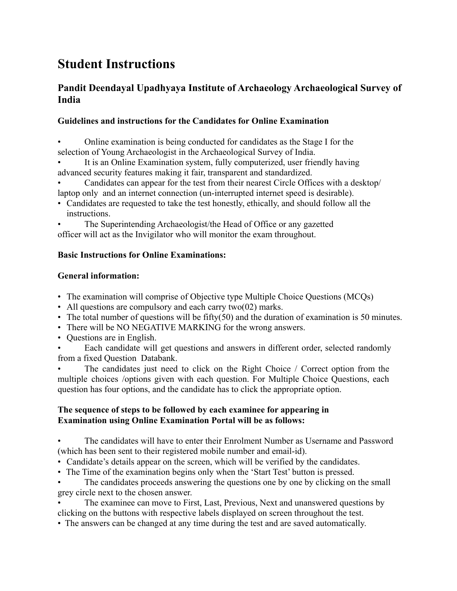# **Student Instructions**

## **Pandit Deendayal Upadhyaya Institute of Archaeology Archaeological Survey of India**

## **Guidelines and instructions for the Candidates for Online Examination**

• Online examination is being conducted for candidates as the Stage I for the selection of Young Archaeologist in the Archaeological Survey of India.

It is an Online Examination system, fully computerized, user friendly having advanced security features making it fair, transparent and standardized.

• Candidates can appear for the test from their nearest Circle Offices with a desktop/ laptop only and an internet connection (un-interrupted internet speed is desirable).

• Candidates are requested to take the test honestly, ethically, and should follow all the instructions.

• The Superintending Archaeologist/the Head of Office or any gazetted officer will act as the Invigilator who will monitor the exam throughout.

### **Basic Instructions for Online Examinations:**

## **General information:**

- The examination will comprise of Objective type Multiple Choice Questions (MCQs)
- All questions are compulsory and each carry two(02) marks.
- The total number of questions will be fifty(50) and the duration of examination is 50 minutes.
- There will be NO NEGATIVE MARKING for the wrong answers.
- Questions are in English.

Each candidate will get questions and answers in different order, selected randomly from a fixed Question Databank.

The candidates just need to click on the Right Choice / Correct option from the multiple choices /options given with each question. For Multiple Choice Questions, each question has four options, and the candidate has to click the appropriate option.

### **The sequence of steps to be followed by each examinee for appearing in Examination using Online Examination Portal will be as follows:**

• The candidates will have to enter their Enrolment Number as Username and Password (which has been sent to their registered mobile number and email-id).

- Candidate's details appear on the screen, which will be verified by the candidates.
- The Time of the examination begins only when the 'Start Test' button is pressed.
- The candidates proceeds answering the questions one by one by clicking on the small grey circle next to the chosen answer.

• The examinee can move to First, Last, Previous, Next and unanswered questions by clicking on the buttons with respective labels displayed on screen throughout the test.

• The answers can be changed at any time during the test and are saved automatically.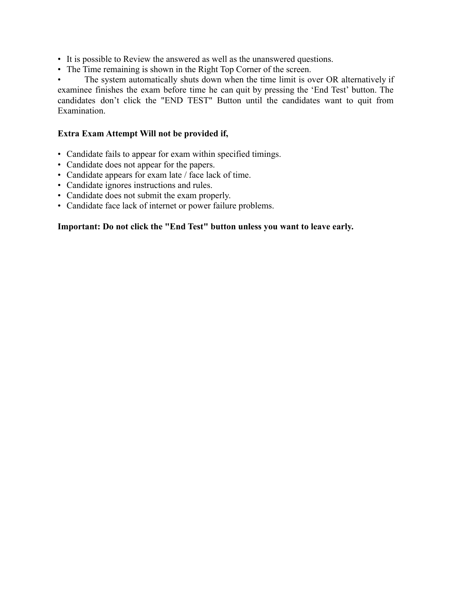• It is possible to Review the answered as well as the unanswered questions.

• The Time remaining is shown in the Right Top Corner of the screen.

• The system automatically shuts down when the time limit is over OR alternatively if examinee finishes the exam before time he can quit by pressing the 'End Test' button. The candidates don't click the "END TEST" Button until the candidates want to quit from **Examination** 

#### **Extra Exam Attempt Will not be provided if,**

- Candidate fails to appear for exam within specified timings.
- Candidate does not appear for the papers.
- Candidate appears for exam late / face lack of time.
- Candidate ignores instructions and rules.
- Candidate does not submit the exam properly.
- Candidate face lack of internet or power failure problems.

#### **Important: Do not click the "End Test" button unless you want to leave early.**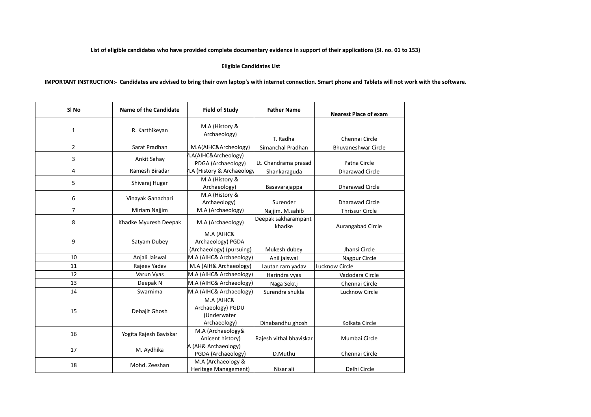#### **List of eligible candidates who have provided complete documentary evidence in support of their applications (SI. no. 01 to 153)**

#### **Eligible Candidates List**

**IMPORTANT INSTRUCTION:- Candidates are advised to bring their own laptop's with internet connection. Smart phone and Tablets will not work with the software.**

| SI <sub>No</sub> | Name of the Candidate  | <b>Field of Study</b>                                          | <b>Father Name</b>            | <b>Nearest Place of exam</b> |
|------------------|------------------------|----------------------------------------------------------------|-------------------------------|------------------------------|
| 1                | R. Karthikeyan         | M.A (History &<br>Archaeology)                                 | T. Radha                      | Chennai Circle               |
| $\overline{2}$   | Sarat Pradhan          | M.A(AIHC&Archeology)                                           | Simanchal Pradhan             | <b>Bhuvaneshwar Circle</b>   |
| 3                | Ankit Sahay            | 1.A(AIHC&Archeology)<br>PDGA (Archaeology)                     | Lt. Chandrama prasad          | Patna Circle                 |
| 4                | Ramesh Biradar         | 1.A (History & Archaeology                                     | Shankaraguda                  | <b>Dharawad Circle</b>       |
| 5                | Shivaraj Hugar         | M.A (History &<br>Archaeology)                                 | Basavarajappa                 | <b>Dharawad Circle</b>       |
| 6                | Vinayak Ganachari      | M.A (History &<br>Archaeology)                                 | Surender                      | <b>Dharawad Circle</b>       |
| $\overline{7}$   | Miriam Najjim          | M.A (Archaeology)                                              | Najjim. M.sahib               | <b>Thrissur Circle</b>       |
| 8                | Khadke Myuresh Deepak  | M.A (Archaeology)                                              | Deepak sakharampant<br>khadke | Aurangabad Circle            |
| 9                | Satyam Dubey           | M.A (AIHC&<br>Archaeology) PGDA<br>(Archaeology) (pursuing)    | Mukesh dubey                  | Jhansi Circle                |
| 10               | Anjali Jaiswal         | M.A (AIHC& Archaeology)                                        | Anil jaiswal                  | Nagpur Circle                |
| 11               | Rajeev Yadav           | M.A (AIH& Archaeology)                                         | Lautan ram yadav              | Lucknow Circle               |
| 12               | Varun Vyas             | M.A (AIHC& Archaeology)                                        | Harindra vyas                 | Vadodara Circle              |
| 13               | Deepak N               | M.A (AIHC& Archaeology)                                        | Naga Sekr.j                   | Chennai Circle               |
| 14               | Swarnima               | M.A (AIHC& Archaeology)                                        | Surendra shukla               | Lucknow Circle               |
| 15               | Debajit Ghosh          | M.A (AIHC&<br>Archaeology) PGDU<br>(Underwater<br>Archaeology) | Dinabandhu ghosh              | Kolkata Circle               |
| 16               | Yogita Rajesh Baviskar | M.A (Archaeology&<br>Anicent history)                          | Rajesh vithal bhaviskar       | Mumbai Circle                |
| 17               | M. Aydhika             | A (AH& Archaeology)<br>PGDA (Archaeology)                      | D.Muthu                       | Chennai Circle               |
| 18               | Mohd. Zeeshan          | M.A (Archaeology &<br>Heritage Management)                     | Nisar ali                     | Delhi Circle                 |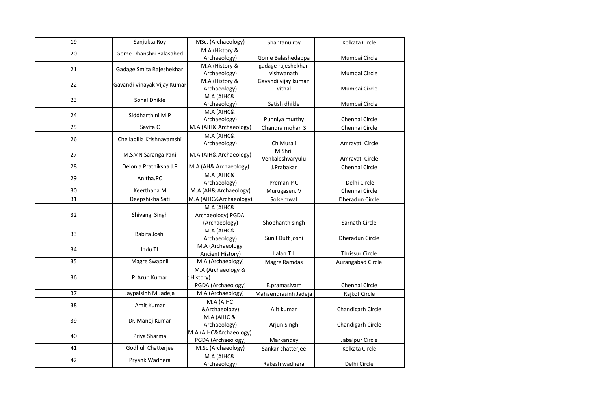| 19                 | Sanjukta Roy                | MSc. (Archaeology)     | Shantanu roy         | Kolkata Circle         |
|--------------------|-----------------------------|------------------------|----------------------|------------------------|
| 20                 | Gome Dhanshri Balasahed     | M.A (History &         |                      |                        |
|                    |                             | Archaeology)           | Gome Balashedappa    | Mumbai Circle          |
| 21                 | Gadage Smita Rajeshekhar    | M.A (History &         | gadage rajeshekhar   |                        |
|                    |                             | Archaeology)           | vishwanath           | Mumbai Circle          |
| 22                 | Gavandi Vinayak Vijay Kumar | M.A (History &         | Gavandi vijay kumar  |                        |
|                    |                             | Archaeology)           | vithal               | Mumbai Circle          |
| 23                 | Sonal Dhikle                | M.A (AIHC&             |                      |                        |
|                    |                             | Archaeology)           | Satish dhikle        | Mumbai Circle          |
| 24                 | Siddharthini M.P            | M.A (AIHC&             |                      |                        |
|                    |                             | Archaeology)           | Punniya murthy       | Chennai Circle         |
| 25                 | Savita C                    | M.A (AIH& Archaeology) | Chandra mohan S      | Chennai Circle         |
| 26                 | Chellapilla Krishnavamshi   | M.A (AIHC&             |                      |                        |
|                    |                             | Archaeology)           | Ch Murali            | Amravati Circle        |
| 27                 | M.S.V.N Saranga Pani        | M.A (AIH& Archaeology) | M.Shri               |                        |
|                    |                             |                        | Venkaleshvaryulu     | Amravati Circle        |
| 28                 | Delonia Prathiksha J.P      | M.A (AH& Archaeology)  | J.Prabakar           | Chennai Circle         |
| 29                 | Anitha.PC                   | M.A (AIHC&             |                      |                        |
|                    |                             | Archaeology)           | Preman P C           | Delhi Circle           |
| 30                 | Keerthana M                 | M.A (AH& Archaeology)  | Murugasen. V         | Chennai Circle         |
| 31                 | Deepshikha Sati             | M.A (AIHC&Archaeology) | Solsemwal            | Dheradun Circle        |
|                    | Shivangi Singh              | M.A (AIHC&             |                      |                        |
| 32                 |                             | Archaeology) PGDA      |                      |                        |
|                    |                             | (Archaeology)          | Shobhanth singh      | Sarnath Circle         |
| 33                 | Babita Joshi                | M.A (AIHC&             |                      |                        |
|                    |                             | Archaeology)           | Sunil Dutt joshi     | Dheradun Circle        |
| 34                 | Indu TL                     | M.A (Archaeology       |                      |                        |
|                    |                             | Ancient History)       | Lalan TL             | <b>Thrissur Circle</b> |
| 35                 | Magre Swapnil               | M.A (Archaeology)      | Magre Ramdas         | Aurangabad Circle      |
|                    |                             | M.A (Archaeology &     |                      |                        |
| 36                 | P. Arun Kumar               | : History)             |                      |                        |
|                    |                             | PGDA (Archaeology)     | E.pramasivam         | Chennai Circle         |
| 37                 | Jaypalsinh M Jadeja         | M.A (Archaeology)      | Mahaendrasinh Jadeja | Rajkot Circle          |
| 38                 | Amit Kumar                  | M.A (AIHC              |                      |                        |
|                    |                             | &Archaeology)          | Ajit kumar           | Chandigarh Circle      |
| 39                 | Dr. Manoj Kumar             | M.A (AIHC &            |                      |                        |
|                    |                             | Archaeology)           | Arjun Singh          | Chandigarh Circle      |
| 40<br>Priya Sharma |                             | M.A (AIHC&Archaeology) |                      |                        |
|                    |                             | PGDA (Archaeology)     | Markandey            | Jabalpur Circle        |
| 41                 | Godhuli Chatterjee          | M.Sc (Archaeology)     | Sankar chatterjee    | Kolkata Circle         |
| 42                 | Pryank Wadhera              | M.A (AIHC&             |                      |                        |
|                    |                             | Archaeology)           | Rakesh wadhera       | Delhi Circle           |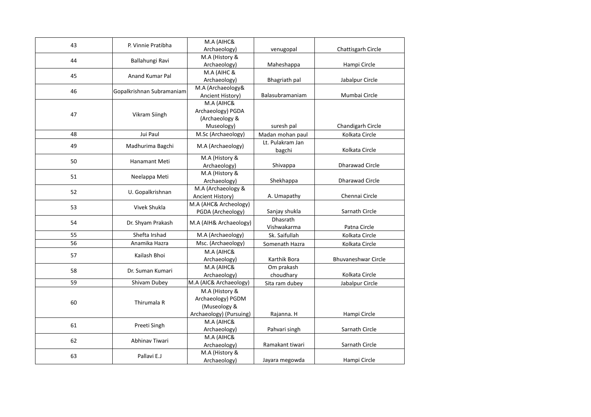| 43 | P. Vinnie Pratibha        | M.A (AIHC&                            |                  |                            |
|----|---------------------------|---------------------------------------|------------------|----------------------------|
|    |                           | Archaeology)                          | venugopal        | Chattisgarh Circle         |
| 44 | Ballahungi Ravi           | M.A (History &                        |                  |                            |
|    |                           | Archaeology)                          | Maheshappa       | Hampi Circle               |
| 45 | <b>Anand Kumar Pal</b>    | M.A (AIHC &                           |                  | Jabalpur Circle            |
|    |                           | Archaeology)<br>M.A (Archaeology&     | Bhagriath pal    |                            |
| 46 | Gopalkrishnan Subramaniam | Ancient History)                      | Balasubramaniam  | Mumbai Circle              |
|    |                           | M.A (AIHC&                            |                  |                            |
|    |                           | Archaeology) PGDA                     |                  |                            |
| 47 | Vikram Siingh             | (Archaeology &                        |                  |                            |
|    |                           | Museology)                            | suresh pal       | Chandigarh Circle          |
| 48 | Jui Paul                  | M.Sc (Archaeology)                    | Madan mohan paul | Kolkata Circle             |
|    |                           |                                       | Lt. Pulakram Jan |                            |
| 49 | Madhurima Bagchi          | M.A (Archaeology)                     | bagchi           | Kolkata Circle             |
|    |                           | M.A (History &                        |                  |                            |
| 50 | Hanamant Meti             | Archaeology)                          | Shivappa         | <b>Dharawad Circle</b>     |
| 51 |                           | M.A (History &                        |                  |                            |
|    | Neelappa Meti             | Archaeology)                          | Shekhappa        | <b>Dharawad Circle</b>     |
| 52 | U. Gopalkrishnan          | M.A (Archaeology &                    |                  |                            |
|    |                           | Ancient History)                      | A. Umapathy      | Chennai Circle             |
| 53 | Vivek Shukla              | M.A (AHC& Archeology)                 |                  |                            |
|    |                           | PGDA (Archeology)                     | Sanjay shukla    | Sarnath Circle             |
| 54 | Dr. Shyam Prakash         | M.A (AIH& Archaeology)                | <b>Dhasrath</b>  |                            |
|    |                           |                                       | Vishwakarma      | Patna Circle               |
| 55 | Shefta Irshad             | M.A (Archaeology)                     | Sk. Saifullah    | Kolkata Circle             |
| 56 | Anamika Hazra             | Msc. (Archaeology)                    | Somenath Hazra   | Kolkata Circle             |
| 57 | Kailash Bhoi              | M.A (AIHC&                            |                  |                            |
|    |                           | Archaeology)                          | Karthik Bora     | <b>Bhuvaneshwar Circle</b> |
| 58 | Dr. Suman Kumari          | M.A (AIHC&                            | Om prakash       |                            |
|    |                           | Archaeology)                          | choudhary        | Kolkata Circle             |
| 59 | Shivam Dubey              | M.A (AIC& Archaeology)                | Sita ram dubey   | Jabalpur Circle            |
|    |                           | M.A (History &                        |                  |                            |
| 60 | Thirumala R               | Archaeology) PGDM                     |                  |                            |
|    |                           | (Museology &                          |                  |                            |
|    |                           | Archaeology) (Pursuing)<br>M.A (AIHC& | Rajanna. H       | Hampi Circle               |
| 61 | Preeti Singh              | Archaeology)                          | Pahvari singh    | Sarnath Circle             |
|    |                           | M.A (AIHC&                            |                  |                            |
| 62 | Abhinav Tiwari            | Archaeology)                          | Ramakant tiwari  | Sarnath Circle             |
|    |                           | M.A (History &                        |                  |                            |
| 63 | Pallavi E.J               | Archaeology)                          | Jayara megowda   | Hampi Circle               |
|    |                           |                                       |                  |                            |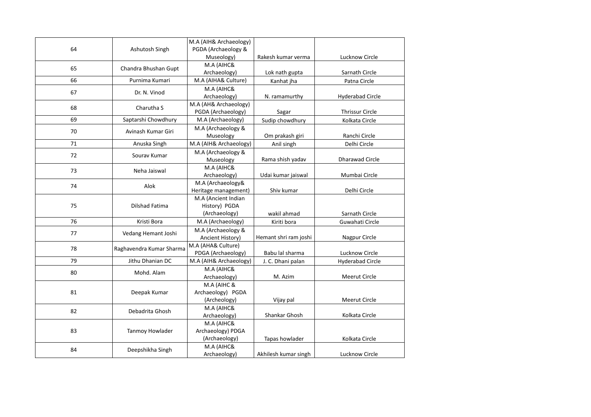|    |                          | M.A (AIH& Archaeology)                       |                       |                         |
|----|--------------------------|----------------------------------------------|-----------------------|-------------------------|
| 64 | Ashutosh Singh           | PGDA (Archaeology &                          |                       |                         |
|    |                          | Museology)                                   | Rakesh kumar verma    | Lucknow Circle          |
| 65 | Chandra Bhushan Gupt     | M.A (AIHC&                                   |                       |                         |
|    |                          | Archaeology)                                 | Lok nath gupta        | Sarnath Circle          |
| 66 | Purnima Kumari           | M.A (AIHA& Culture)                          | Kanhat jha            | Patna Circle            |
| 67 | Dr. N. Vinod             | M.A (AIHC&                                   |                       |                         |
|    |                          | Archaeology)                                 | N. ramamurthy         | <b>Hyderabad Circle</b> |
| 68 | Charutha S               | M.A (AH& Archaeology)                        |                       |                         |
|    |                          | PGDA (Archaeology)                           | Sagar                 | <b>Thrissur Circle</b>  |
| 69 | Saptarshi Chowdhury      | M.A (Archaeology)                            | Sudip chowdhury       | Kolkata Circle          |
| 70 | Avinash Kumar Giri       | M.A (Archaeology &                           |                       |                         |
|    |                          | Museology                                    | Om prakash giri       | Ranchi Circle           |
| 71 | Anuska Singh             | M.A (AIH& Archaeology)                       | Anil singh            | Delhi Circle            |
| 72 | Sourav Kumar             | M.A (Archaeology &                           |                       |                         |
|    |                          | Museology                                    | Rama shish yadav      | <b>Dharawad Circle</b>  |
| 73 | Neha Jaiswal             | M.A (AIHC&                                   |                       |                         |
|    |                          | Archaeology)                                 | Udai kumar jaiswal    | Mumbai Circle           |
| 74 | Alok                     | M.A (Archaeology&                            |                       |                         |
|    |                          | Heritage management)                         | Shiv kumar            | Delhi Circle            |
|    |                          | M.A (Ancient Indian                          |                       |                         |
| 75 | Dilshad Fatima           | History) PGDA                                |                       |                         |
|    |                          | (Archaeology)                                | wakil ahmad           | Sarnath Circle          |
| 76 | Kristi Bora              | M.A (Archaeology)                            | Kiriti bora           | Guwahati Circle         |
| 77 | Vedang Hemant Joshi      | M.A (Archaeology &                           |                       |                         |
|    |                          | Ancient History)                             | Hemant shri ram joshi | Nagpur Circle           |
| 78 | Raghavendra Kumar Sharma | M.A (AHA& Culture)                           | Babu lal sharma       | Lucknow Circle          |
| 79 | Jithu Dhanian DC         | PDGA (Archaeology)<br>M.A (AIH& Archaeology) |                       |                         |
|    |                          |                                              | J. C. Dhani palan     | <b>Hyderabad Circle</b> |
| 80 | Mohd. Alam               | M.A (AIHC&                                   | M. Azim               | Meerut Circle           |
|    |                          | Archaeology)<br>M.A (AIHC &                  |                       |                         |
| 81 | Deepak Kumar             | Archaeology) PGDA                            |                       |                         |
|    |                          | (Archeology)                                 | Vijay pal             | <b>Meerut Circle</b>    |
|    |                          | M.A (AIHC&                                   |                       |                         |
| 82 | Debadrita Ghosh          | Archaeology)                                 | Shankar Ghosh         | Kolkata Circle          |
|    |                          | M.A (AIHC&                                   |                       |                         |
| 83 | Tanmoy Howlader          | Archaeology) PDGA                            |                       |                         |
|    |                          | (Archaeology)                                | Tapas howlader        | Kolkata Circle          |
|    |                          | M.A (AIHC&                                   |                       |                         |
| 84 | Deepshikha Singh         | Archaeology)                                 | Akhilesh kumar singh  | Lucknow Circle          |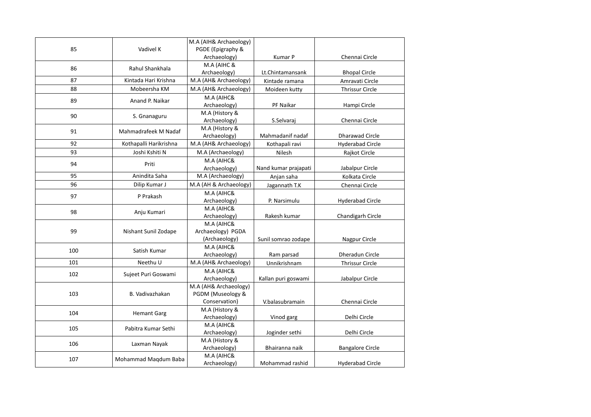|     |                        | M.A (AIH& Archaeology) |                      |                         |
|-----|------------------------|------------------------|----------------------|-------------------------|
| 85  | Vadivel K              | PGDE (Epigraphy &      |                      |                         |
|     |                        | Archaeology)           | Kumar P              | Chennai Circle          |
| 86  | Rahul Shankhala        | M.A (AIHC &            |                      |                         |
|     |                        | Archaeology)           | Lt.Chintamansank     | <b>Bhopal Circle</b>    |
| 87  | Kintada Hari Krishna   | M.A (AH& Archaeology)  | Kintade ramana       | Amravati Circle         |
| 88  | Mobeersha KM           | M.A (AH& Archaeology)  | Moideen kutty        | <b>Thrissur Circle</b>  |
| 89  | Anand P. Naikar        | M.A (AIHC&             |                      |                         |
|     |                        | Archaeology)           | PF Naikar            | Hampi Circle            |
| 90  | S. Gnanaguru           | M.A (History &         |                      |                         |
|     |                        | Archaeology)           | S.Selvaraj           | Chennai Circle          |
| 91  | Mahmadrafeek M Nadaf   | M.A (History &         |                      |                         |
|     |                        | Archaeology)           | Mahmadanif nadaf     | Dharawad Circle         |
| 92  | Kothapalli Harikrishna | M.A (AH& Archaeology)  | Kothapali ravi       | <b>Hyderabad Circle</b> |
| 93  | Joshi Kshiti N         | M.A (Archaeology)      | Nilesh               | Rajkot Circle           |
| 94  | Priti                  | M.A (AIHC&             |                      |                         |
|     |                        | Archaeology)           | Nand kumar prajapati | Jabalpur Circle         |
| 95  | Anindita Saha          | M.A (Archaeology)      | Anjan saha           | Kolkata Circle          |
| 96  | Dilip Kumar J          | M.A (AH & Archaeology) | Jagannath T.K        | Chennai Circle          |
|     |                        | M.A (AIHC&             |                      |                         |
| 97  | P Prakash              | Archaeology)           | P. Narsimulu         | <b>Hyderabad Circle</b> |
| 98  | Anju Kumari            | M.A (AIHC&             |                      |                         |
|     |                        | Archaeology)           | Rakesh kumar         | Chandigarh Circle       |
|     |                        | M.A (AIHC&             |                      |                         |
| 99  | Nishant Sunil Zodape   | Archaeology) PGDA      |                      |                         |
|     |                        | (Archaeology)          | Sunil somrao zodape  | Nagpur Circle           |
| 100 | Satish Kumar           | M.A (AIHC&             |                      |                         |
|     |                        | Archaeology)           | Ram parsad           | Dheradun Circle         |
| 101 | Neethu U               | M.A (AH& Archaeology)  | Unnikrishnam         | <b>Thrissur Circle</b>  |
| 102 | Sujeet Puri Goswami    | M.A (AIHC&             |                      |                         |
|     |                        | Archaeology)           | Kallan puri goswami  | Jabalpur Circle         |
|     |                        | M.A (AH& Archaeology)  |                      |                         |
| 103 | B. Vadivazhakan        | PGDM (Museology &      |                      |                         |
|     |                        | Conservation)          | V.balasubramain      | Chennai Circle          |
| 104 | <b>Hemant Garg</b>     | M.A (History &         |                      |                         |
|     |                        | Archaeology)           | Vinod garg           | Delhi Circle            |
| 105 | Pabitra Kumar Sethi    | M.A (AIHC&             |                      |                         |
|     |                        | Archaeology)           | Joginder sethi       | Delhi Circle            |
| 106 | Laxman Nayak           | M.A (History &         |                      |                         |
|     |                        | Archaeology)           | Bhairanna naik       | <b>Bangalore Circle</b> |
| 107 | Mohammad Maqdum Baba   | M.A (AIHC&             |                      |                         |
|     |                        | Archaeology)           | Mohammad rashid      | <b>Hyderabad Circle</b> |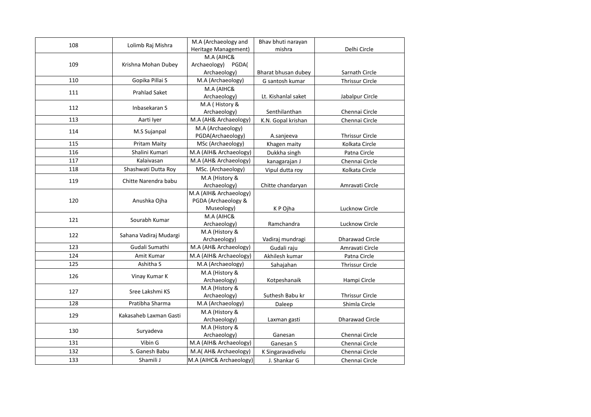| 108 | Lolimb Raj Mishra      | M.A (Archaeology and    | Bhav bhuti narayan  |                        |
|-----|------------------------|-------------------------|---------------------|------------------------|
|     |                        | Heritage Management)    | mishra              | Delhi Circle           |
|     |                        | M.A (AIHC&              |                     |                        |
| 109 | Krishna Mohan Dubey    | Archaeology) PGDA(      |                     |                        |
|     |                        | Archaeology)            | Bharat bhusan dubey | Sarnath Circle         |
| 110 | Gopika Pillai S        | M.A (Archaeology)       | G santosh kumar     | <b>Thrissur Circle</b> |
| 111 | <b>Prahlad Saket</b>   | M.A (AIHC&              |                     |                        |
|     |                        | Archaeology)            | Lt. Kishanlal saket | Jabalpur Circle        |
| 112 | Inbasekaran S          | M.A (History &          |                     |                        |
|     |                        | Archaeology)            | Senthilanthan       | Chennai Circle         |
| 113 | Aarti Iyer             | M.A (AH& Archaeology)   | K.N. Gopal krishan  | Chennai Circle         |
| 114 | M.S Sujanpal           | M.A (Archaeology)       |                     |                        |
|     |                        | PGDA(Archaeology)       | A.sanjeeva          | <b>Thrissur Circle</b> |
| 115 | <b>Pritam Maity</b>    | MSc (Archaeology)       | Khagen maity        | Kolkata Circle         |
| 116 | Shalini Kumari         | M.A (AIH& Archaeology)  | Dukkha singh        | Patna Circle           |
| 117 | Kalaivasan             | M.A (AH& Archaeology)   | kanagarajan J       | Chennai Circle         |
| 118 | Shashwati Dutta Roy    | MSc. (Archaeology)      | Vipul dutta roy     | Kolkata Circle         |
| 119 | Chitte Narendra babu   | M.A (History &          |                     |                        |
|     |                        | Archaeology)            | Chitte chandaryan   | Amravati Circle        |
|     | Anushka Ojha           | M.A (AIH& Archaeology)  |                     |                        |
| 120 |                        | PGDA (Archaeology &     |                     |                        |
|     |                        | Museology)              | K P Ojha            | Lucknow Circle         |
| 121 | Sourabh Kumar          | M.A (AIHC&              |                     |                        |
|     |                        | Archaeology)            | Ramchandra          | Lucknow Circle         |
| 122 | Sahana Vadiraj Mudargi | M.A (History &          |                     |                        |
|     |                        | Archaeology)            | Vadiraj mundragi    | <b>Dharawad Circle</b> |
| 123 | Gudali Sumathi         | M.A (AH& Archaeology)   | Gudali raju         | Amravati Circle        |
| 124 | Amit Kumar             | M.A (AIH& Archaeology)  | Akhilesh kumar      | Patna Circle           |
| 125 | Ashitha S              | M.A (Archaeology)       | Sahajahan           | <b>Thrissur Circle</b> |
| 126 | Vinay Kumar K          | M.A (History &          |                     |                        |
|     |                        | Archaeology)            | Kotpeshanaik        | Hampi Circle           |
| 127 | Sree Lakshmi KS        | M.A (History &          |                     |                        |
|     |                        | Archaeology)            | Suthesh Babu kr     | <b>Thrissur Circle</b> |
| 128 | Pratibha Sharma        | M.A (Archaeology)       | Daleep              | Shimla Circle          |
| 129 | Kakasaheb Laxman Gasti | M.A (History &          |                     |                        |
|     |                        | Archaeology)            | Laxman gasti        | <b>Dharawad Circle</b> |
| 130 | Suryadeva              | M.A (History &          |                     |                        |
|     |                        | Archaeology)            | Ganesan             | Chennai Circle         |
| 131 | Vibin G                | M.A (AIH& Archaeology)  | Ganesan S           | Chennai Circle         |
| 132 | S. Ganesh Babu         | M.A( AH& Archaeology)   | K Singaravadivelu   | Chennai Circle         |
| 133 | Shamili J              | M.A (AIHC& Archaeology) | J. Shankar G        | Chennai Circle         |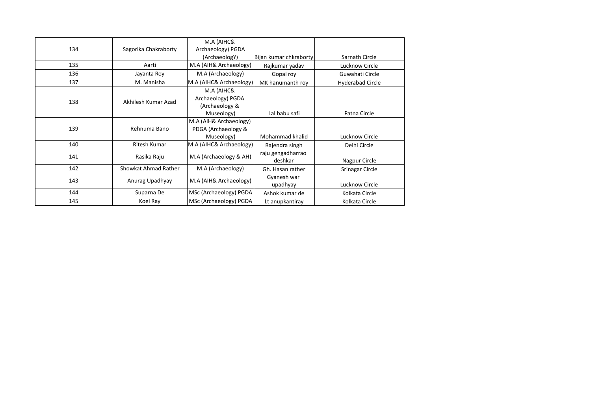|     |                      | M.A (AIHC&              |                        |                         |
|-----|----------------------|-------------------------|------------------------|-------------------------|
| 134 | Sagorika Chakraborty | Archaeology) PGDA       |                        |                         |
|     |                      | (ArchaeologY)           | Bijan kumar chkraborty | Sarnath Circle          |
| 135 | Aarti                | M.A (AIH& Archaeology)  | Rajkumar yadav         | Lucknow Circle          |
| 136 | Jayanta Roy          | M.A (Archaeology)       | Gopal roy              | Guwahati Circle         |
| 137 | M. Manisha           | M.A (AIHC& Archaeology) | MK hanumanth roy       | <b>Hyderabad Circle</b> |
|     |                      | M.A (AIHC&              |                        |                         |
| 138 | Akhilesh Kumar Azad  | Archaeology) PGDA       |                        |                         |
|     |                      | (Archaeology &          |                        |                         |
|     |                      | Museology)              | Lal babu safi          | Patna Circle            |
|     |                      | M.A (AIH& Archaeology)  |                        |                         |
| 139 | Rehnuma Bano         | PDGA (Archaeology &     |                        |                         |
|     |                      | Museology)              | Mohammad khalid        | Lucknow Circle          |
| 140 | Ritesh Kumar         | M.A (AIHC& Archaeology) | Rajendra singh         | Delhi Circle            |
| 141 | Rasika Raju          | M.A (Archaeology & AH)  | raju gengadharrao      |                         |
|     |                      |                         | deshkar                | Nagpur Circle           |
| 142 | Showkat Ahmad Rather | M.A (Archaeology)       | Gh. Hasan rather       | Srinagar Circle         |
| 143 |                      | M.A (AIH& Archaeology)  | Gyanesh war            |                         |
|     | Anurag Upadhyay      |                         | upadhyay               | Lucknow Circle          |
| 144 | Suparna De           | MSc (Archaeology) PGDA  | Ashok kumar de         | Kolkata Circle          |
| 145 | Koel Ray             | MSc (Archaeology) PGDA  | Lt anupkantiray        | Kolkata Circle          |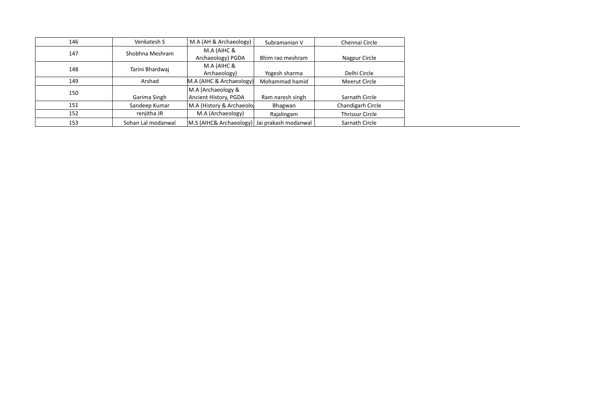| 146 | Venkatesh S        | M.A (AH & Archaeology)    | Subramanian V        | Chennai Circle         |
|-----|--------------------|---------------------------|----------------------|------------------------|
| 147 | Shobhna Meshram    | M.A (AIHC &               |                      |                        |
|     |                    | Archaeology) PGDA         | Bhim rao meshram     | Nagpur Circle          |
| 148 | Tarini Bhardwaj    | M.A (AIHC &               |                      |                        |
|     |                    | Archaeology)              | Yogesh sharma        | Delhi Circle           |
| 149 | Arshad             | M.A (AIHC & Archaeology)  | Mohammad hamid       | Meerut Circle          |
| 150 |                    | M.A (Archaeology &        |                      |                        |
|     | Garima Singh       | Ancient History, PGDA     | Ram naresh singh     | Sarnath Circle         |
| 151 | Sandeep Kumar      | M.A (History & Archaeolo) | Bhagwan              | Chandigarh Circle      |
| 152 | renjitha JR        | M.A (Archaeology)         | Rajalingam           | <b>Thrissur Circle</b> |
| 153 | Sohan Lal modanwal | M.S (AIHC& Archaeology)   | Jai prakash modanwal | Sarnath Circle         |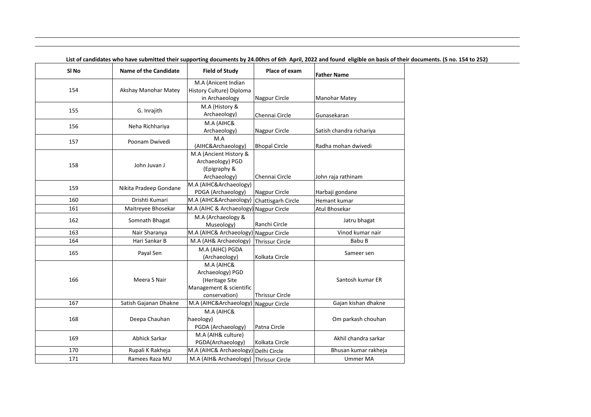| SI <sub>No</sub> | <b>Name of the Candidate</b> | <b>Field of Study</b>    | Place of exam          | <b>Father Name</b>       |
|------------------|------------------------------|--------------------------|------------------------|--------------------------|
|                  |                              | M.A (Anicent Indian      |                        |                          |
| 154              | Akshay Manohar Matey         | History Culture) Diploma |                        |                          |
|                  |                              | in Archaeology           | Nagpur Circle          | Manohar Matey            |
| 155              | G. Inrajith                  | M.A (History &           |                        |                          |
|                  |                              | Archaeology)             | Chennai Circle         | Gunasekaran              |
| 156              | Neha Richhariya              | M.A (AIHC&               |                        |                          |
|                  |                              | Archaeology)             | Nagpur Circle          | Satish chandra richariya |
| 157              | Poonam Dwivedi               | M.A                      |                        |                          |
|                  |                              | (AIHC&Archaeology)       | <b>Bhopal Circle</b>   | Radha mohan dwivedi      |
|                  |                              | M.A (Ancient History &   |                        |                          |
| 158              | John Juvan J                 | Archaeology) PGD         |                        |                          |
|                  |                              | (Epigraphy &             |                        |                          |
|                  |                              | Archaeology)             | Chennai Circle         | John raja rathinam       |
| 159              | Nikita Pradeep Gondane       | M.A (AIHC&Archaeology)   |                        |                          |
| 160              | Drishti Kumari               | PDGA (Archaeology)       | Nagpur Circle          | Harbaji gondane          |
|                  |                              | M.A (AIHC&Archaeology)   | Chattisgarh Circle     | Hemant kumar             |
| 161              | Maitreyee Bhosekar           | M.A (AIHC & Archaeology) | Nagpur Circle          | Atul Bhosekar            |
| 162              | Somnath Bhagat               | M.A (Archaeology &       |                        | Jatru bhagat             |
|                  |                              | Museology)               | Ranchi Circle          |                          |
| 163              | Nair Sharanya                | M.A (AIHC& Archaeology)  | Nagpur Circle          | Vinod kumar nair         |
| 164              | Hari Sankar B                | M.A (AH& Archaeology)    | <b>Thrissur Circle</b> | Babu B                   |
| 165              | Payal Sen                    | M.A (AIHC) PGDA          |                        | Sameer sen               |
|                  |                              | (Archaeology)            | Kolkata Circle         |                          |
|                  |                              | M.A (AIHC&               |                        |                          |
|                  |                              | Archaeology) PGD         |                        |                          |
| 166              | Meera S Nair                 | (Heritage Site           |                        | Santosh kumar ER         |
|                  |                              | Management & scientific  |                        |                          |
|                  |                              | conservation)            | <b>Thrissur Circle</b> |                          |
| 167              | Satish Gajanan Dhakne        | M.A (AIHC&Archaeology)   | Nagpur Circle          | Gajan kishan dhakne      |
|                  |                              | M.A (AIHC&               |                        |                          |
| 168              | Deepa Chauhan                | haeology)                |                        | Om parkash chouhan       |
|                  |                              | PGDA (Archaeology)       | Patna Circle           |                          |
| 169              | Abhick Sarkar                | M.A (AIH& culture)       |                        | Akhil chandra sarkar     |
|                  |                              | PGDA(Archaeology)        | Kolkata Circle         |                          |
| 170              | Rupali K Rakheja             | M.A (AIHC& Archaeology)  | Delhi Circle           | Bhusan kumar rakheja     |
| 171              | Ramees Raza MU               | M.A (AIH& Archaeology)   | Thrissur Circle        | <b>Ummer MA</b>          |

**List of candidates who have submitted their supporting documents by 24.00hrs of 6th April, 2022 and found eligible on basis of their documents. (S no. 154 to 252)**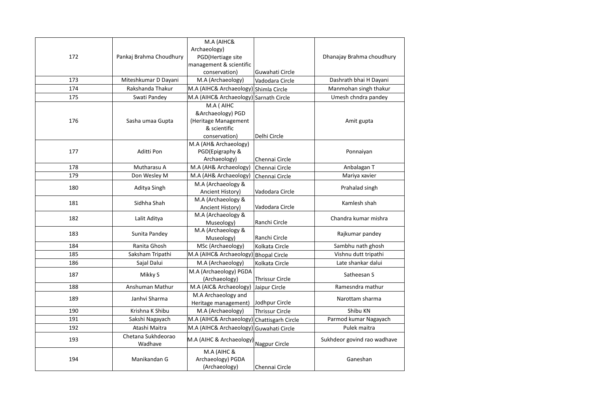|     |                         | M.A (AIHC&                             |                        |                             |
|-----|-------------------------|----------------------------------------|------------------------|-----------------------------|
|     |                         | Archaeology)                           |                        |                             |
| 172 | Pankaj Brahma Choudhury | PGD(Hertiage site                      |                        | Dhanajay Brahma choudhury   |
|     |                         | management & scientific                |                        |                             |
|     |                         | conservation)                          | Guwahati Circle        |                             |
| 173 | Miteshkumar D Dayani    | M.A (Archaeology)                      | Vadodara Circle        | Dashrath bhai H Dayani      |
| 174 | Rakshanda Thakur        | M.A (AIHC& Archaeology) Shimla Circle  |                        | Manmohan singh thakur       |
| 175 | Swati Pandey            | M.A (AIHC& Archaeology) Sarnath Circle |                        | Umesh chndra pandey         |
|     |                         | M.A (AIHC                              |                        |                             |
|     |                         | &Archaeology) PGD                      |                        |                             |
| 176 | Sasha umaa Gupta        | (Heritage Management                   |                        | Amit gupta                  |
|     |                         | & scientific                           |                        |                             |
|     |                         | conservation)                          | Delhi Circle           |                             |
|     |                         | M.A (AH& Archaeology)                  |                        |                             |
| 177 | Aditti Pon              | PGD(Epigraphy &                        |                        | Ponnaiyan                   |
|     |                         | Archaeology)                           | Chennai Circle         |                             |
| 178 | Mutharasu A             | M.A (AH& Archaeology)                  | Chennai Circle         | Anbalagan T                 |
| 179 | Don Wesley M            | M.A (AH& Archaeology)                  | Chennai Circle         | Mariya xavier               |
| 180 | Aditya Singh            | M.A (Archaeology &                     |                        | Prahalad singh              |
|     |                         | Ancient History)                       | Vadodara Circle        |                             |
| 181 | Sidhha Shah             | M.A (Archaeology &                     |                        | Kamlesh shah                |
|     |                         | Ancient History)                       | Vadodara Circle        |                             |
| 182 | Lalit Aditya            | M.A (Archaeology &                     |                        | Chandra kumar mishra        |
|     |                         | Museology)                             | Ranchi Circle          |                             |
| 183 | Sunita Pandey           | M.A (Archaeology &                     |                        | Rajkumar pandey             |
|     |                         | Museology)                             | Ranchi Circle          |                             |
| 184 | Ranita Ghosh            | MSc (Archaeology)                      | Kolkata Circle         | Sambhu nath ghosh           |
| 185 | Saksham Tripathi        | M.A (AIHC& Archaeology) Bhopal Circle  |                        | Vishnu dutt tripathi        |
| 186 | Sajal Dalui             | M.A (Archaeology)                      | Kolkata Circle         | Late shankar dalui          |
| 187 | Mikky S                 | M.A (Archaeology) PGDA                 |                        | Satheesan S                 |
|     |                         | (Archaeology)                          | <b>Thrissur Circle</b> |                             |
| 188 | Anshuman Mathur         | M.A (AIC& Archaeology)                 | Jaipur Circle          | Ramesndra mathur            |
| 189 | Janhvi Sharma           | M.A Archaeology and                    |                        | Narottam sharma             |
|     |                         | Heritage management)                   | Jodhpur Circle         |                             |
| 190 | Krishna K Shibu         | M.A (Archaeology)                      | <b>Thrissur Circle</b> | Shibu KN                    |
| 191 | Sakshi Nagayach         | M.A (AIHC& Archaeology                 | Chattisgarh Circle     | Parmod kumar Nagayach       |
| 192 | Atashi Maitra           | M.A (AIHC& Archaeology)                | Guwahati Circle        | Pulek maitra                |
| 193 | Chetana Sukhdeorao      | M.A (AIHC & Archaeology)               |                        | Sukhdeor govind rao wadhave |
|     | Wadhave                 |                                        | Nagpur Circle          |                             |
|     |                         | M.A (AIHC &                            |                        |                             |
| 194 | Manikandan G            | Archaeology) PGDA                      |                        | Ganeshan                    |
|     |                         | (Archaeology)                          | Chennai Circle         |                             |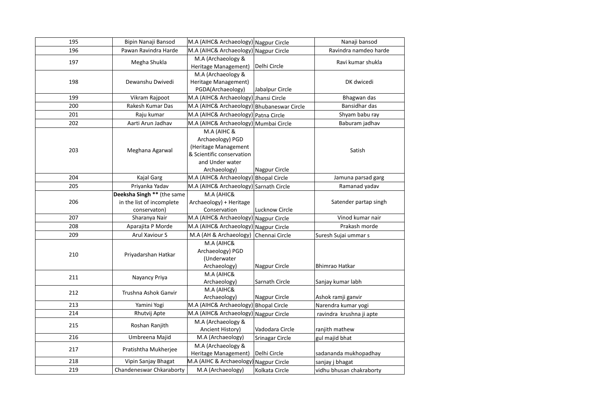| 195 | Bipin Nanaji Bansod                                                     | M.A (AIHC& Archaeology) Nagpur Circle                                                                                   |                       | Nanaji bansod            |
|-----|-------------------------------------------------------------------------|-------------------------------------------------------------------------------------------------------------------------|-----------------------|--------------------------|
| 196 | Pawan Ravindra Harde                                                    | M.A (AIHC& Archaeology) Nagpur Circle                                                                                   |                       | Ravindra namdeo harde    |
| 197 | Megha Shukla                                                            | M.A (Archaeology &<br>Heritage Management)                                                                              | Delhi Circle          | Ravi kumar shukla        |
| 198 | Dewanshu Dwivedi                                                        | M.A (Archaeology &<br>Heritage Management)<br>PGDA(Archaeology)                                                         | Jabalpur Circle       | DK dwicedi               |
| 199 | Vikram Rajpoot                                                          | M.A (AIHC& Archaeology) Jhansi Circle                                                                                   |                       | Bhagwan das              |
| 200 | Rakesh Kumar Das                                                        | M.A (AIHC& Archaeology) Bhubaneswar Circle                                                                              |                       | Bansidhar das            |
| 201 | Raju kumar                                                              | M.A (AIHC& Archaeology) Patna Circle                                                                                    |                       | Shyam babu ray           |
| 202 | Aarti Arun Jadhav                                                       | M.A (AIHC& Archaeology) Mumbai Circle                                                                                   |                       | Baburam jadhav           |
| 203 | Meghana Agarwal                                                         | M.A (AIHC &<br>Archaeology) PGD<br>(Heritage Management<br>& Scientific conservation<br>and Under water<br>Archaeology) | Nagpur Circle         | Satish                   |
| 204 | <b>Kajal Garg</b>                                                       | M.A (AIHC& Archaeology) Bhopal Circle                                                                                   |                       | Jamuna parsad garg       |
| 205 | Priyanka Yadav                                                          | M.A (AIHC& Archaeology) Sarnath Circle                                                                                  |                       | Ramanad yadav            |
| 206 | Deeksha Singh ** (the same<br>in the list of incomplete<br>conservaton) | M.A (AHIC&<br>Archaeology) + Heritage<br>Conservation                                                                   | <b>Lucknow Circle</b> | Satender partap singh    |
| 207 | Sharanya Nair                                                           | M.A (AIHC& Archaeology) Nagpur Circle                                                                                   |                       | Vinod kumar nair         |
| 208 | Aparajita P Morde                                                       | M.A (AIHC& Archaeology) Nagpur Circle                                                                                   |                       | Prakash morde            |
| 209 | Arul Xaviour S                                                          | M.A (AH & Archaeology)                                                                                                  | Chennai Circle        | Suresh Sujai ummar s     |
| 210 | Priyadarshan Hatkar                                                     | M.A (AIHC&<br>Archaeology) PGD<br>(Underwater<br>Archaeology)                                                           | Nagpur Circle         | Bhimrao Hatkar           |
| 211 | Nayancy Priya                                                           | M.A (AIHC&<br>Archaeology)                                                                                              | Sarnath Circle        | Sanjay kumar labh        |
| 212 | Trushna Ashok Ganvir                                                    | M.A (AIHC&<br>Archaeology)                                                                                              | Nagpur Circle         | Ashok ramji ganvir       |
| 213 | Yamini Yogi                                                             | M.A (AIHC& Archaeology) Bhopal Circle                                                                                   |                       | Narendra kumar yogi      |
| 214 | Rhutvij Apte                                                            | M.A (AIHC& Archaeology) Nagpur Circle                                                                                   |                       | ravindra krushna ji apte |
| 215 | Roshan Ranjith                                                          | M.A (Archaeology &<br>Ancient History)                                                                                  | Vadodara Circle       | ranjith mathew           |
| 216 | Umbreena Majid                                                          | M.A (Archaeology)                                                                                                       | Srinagar Circle       | gul majid bhat           |
| 217 | Pratishtha Mukherjee                                                    | M.A (Archaeology &<br>Heritage Management)                                                                              | Delhi Circle          | sadananda mukhopadhay    |
| 218 | Vipin Sanjay Bhagat                                                     | M.A (AIHC & Archaeology)                                                                                                | Nagpur Circle         | sanjay j bhagat          |
| 219 | Chandeneswar Chkaraborty                                                | M.A (Archaeology)                                                                                                       | Kolkata Circle        | vidhu bhusan chakraborty |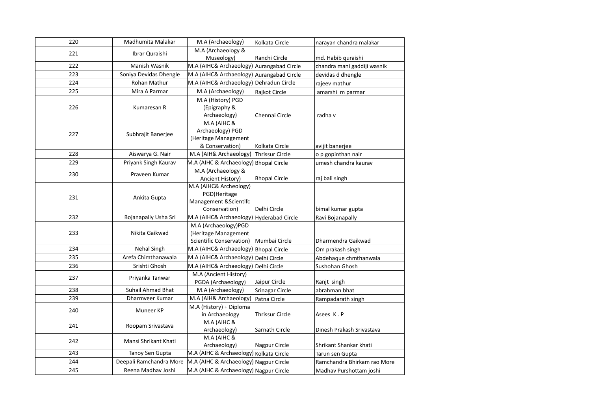| 220 | Madhumita Malakar        | M.A (Archaeology)                         | Kolkata Circle         | narayan chandra malakar     |
|-----|--------------------------|-------------------------------------------|------------------------|-----------------------------|
| 221 | Ibrar Quraishi           | M.A (Archaeology &                        |                        |                             |
|     |                          | Museology)                                | Ranchi Circle          | md. Habib quraishi          |
| 222 | Manish Wasnik            | M.A (AIHC& Archaeology) Aurangabad Circle |                        | chandra mani gaddiji wasnik |
| 223 | Soniya Devidas Dhengle   | M.A (AIHC& Archaeology) Aurangabad Circle |                        | devidas d dhengle           |
| 224 | Rohan Mathur             | M.A (AIHC& Archaeology) Dehradun Circle   |                        | rajeev mathur               |
| 225 | Mira A Parmar            | M.A (Archaeology)                         | Rajkot Circle          | amarshi m parmar            |
|     |                          | M.A (History) PGD                         |                        |                             |
| 226 | Kumaresan R              | (Epigraphy &                              |                        |                             |
|     |                          | Archaeology)                              | Chennai Circle         | radha v                     |
|     |                          | M.A (AIHC &                               |                        |                             |
| 227 | Subhrajit Banerjee       | Archaeology) PGD                          |                        |                             |
|     |                          | (Heritage Management                      |                        |                             |
|     |                          | & Conservation)                           | Kolkata Circle         | avijit banerjee             |
| 228 | Aiswarya G. Nair         | M.A (AIH& Archaeology)                    | <b>Thrissur Circle</b> | o p gopinthan nair          |
| 229 | Priyank Singh Kaurav     | M.A (AIHC & Archaeology) Bhopal Circle    |                        | umesh chandra kaurav        |
| 230 | Praveen Kumar            | M.A (Archaeology &                        |                        |                             |
|     |                          | Ancient History)                          | <b>Bhopal Circle</b>   | raj bali singh              |
|     |                          | M.A (AIHC& Archeology)                    |                        |                             |
| 231 | Ankita Gupta             | PGD(Heritage                              |                        |                             |
|     |                          | Management & Scientifc                    |                        |                             |
|     |                          | Conservation)                             | Delhi Circle           | bimal kumar gupta           |
| 232 | Bojanapally Usha Sri     | M.A (AIHC& Archaeology) Hyderabad Circle  |                        | Ravi Bojanapally            |
|     | Nikita Gaikwad           | M.A (Archaeology)PGD                      |                        |                             |
| 233 |                          | (Heritage Management                      |                        |                             |
|     |                          | <b>Scientific Conservation)</b>           | Mumbai Circle          | Dharmendra Gaikwad          |
| 234 | Nehal Singh              | M.A (AIHC& Archaeology) Bhopal Circle     |                        | Om prakash singh            |
| 235 | Arefa Chimthanawala      | M.A (AIHC& Archaeology) Delhi Circle      |                        | Abdehaque chmthanwala       |
| 236 | Srishti Ghosh            | M.A (AIHC& Archaeology) Delhi Circle      |                        | Sushohan Ghosh              |
| 237 | Priyanka Tanwar          | M.A (Ancient History)                     |                        |                             |
|     |                          | PGDA (Archaeology)                        | Jaipur Circle          | Ranjt singh                 |
| 238 | <b>Suhail Ahmad Bhat</b> | M.A (Archaeology)                         | Srinagar Circle        | abrahman bhat               |
| 239 | Dharmveer Kumar          | M.A (AIH& Archaeology)                    | Patna Circle           | Rampadarath singh           |
| 240 | Muneer KP                | M.A (History) + Diploma                   |                        |                             |
|     |                          | in Archaeology                            | <b>Thrissur Circle</b> | Asees K.P                   |
| 241 | Roopam Srivastava        | M.A (AIHC &                               |                        |                             |
|     |                          | Archaeology)                              | Sarnath Circle         | Dinesh Prakash Srivastava   |
| 242 | Mansi Shrikant Khati     | M.A (AIHC &                               |                        |                             |
|     |                          | Archaeology)                              | Nagpur Circle          | Shrikant Shankar khati      |
| 243 | Tanoy Sen Gupta          | M.A (AIHC & Archaeology) Kolkata Circle   |                        | Tarun sen Gupta             |
| 244 | Deepali Ramchandra More  | M.A (AIHC & Archaeology) Nagpur Circle    |                        | Ramchandra Bhirkam rao More |
| 245 | Reena Madhav Joshi       | M.A (AIHC & Archaeology) Nagpur Circle    |                        | Madhav Purshottam joshi     |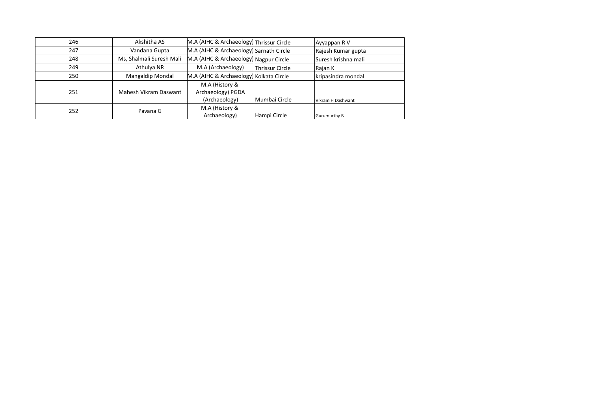|                      | 246 | Akshitha AS              | M.A (AIHC & Archaeology) Thrissur Circle |                        | Ayyappan R V        |
|----------------------|-----|--------------------------|------------------------------------------|------------------------|---------------------|
| 247<br>Vandana Gupta |     |                          | M.A (AIHC & Archaeology) Sarnath Circle  |                        | Rajesh Kumar gupta  |
| 248<br>249<br>250    |     | Ms, Shalmali Suresh Mali | M.A (AIHC & Archaeology) Nagpur Circle   |                        | Suresh krishna mali |
|                      |     | Athulya NR               | M.A (Archaeology)                        | <b>Thrissur Circle</b> | Rajan K             |
|                      |     | Mangaldip Mondal         | M.A (AIHC & Archaeology) Kolkata Circle  |                        | kripasindra mondal  |
|                      |     |                          | M.A (History &                           |                        |                     |
|                      | 251 | Mahesh Vikram Daswant    | Archaeology) PGDA                        |                        |                     |
|                      |     |                          | (Archaeology)                            | Mumbai Circle          | l Vikram H Dashwant |
|                      | 252 | Pavana G                 | M.A (History &                           |                        |                     |
|                      |     |                          | Archaeology)                             | Hampi Circle           | Gurumurthy B        |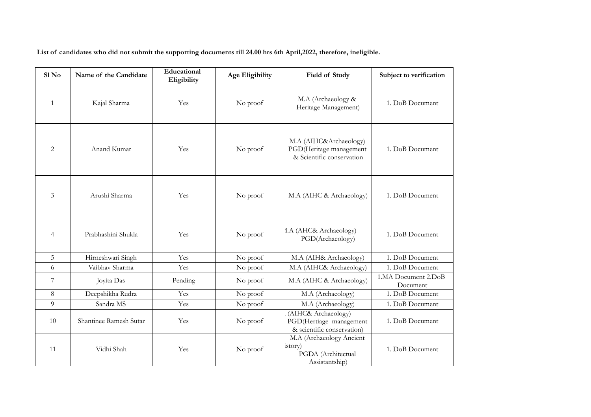**List of candidates who did not submit the supporting documents till 24.00 hrs 6th April,2022, therefore, ineligible.**

| $S1$ No                              | Name of the Candidate  | Educational<br>Eligibility | <b>Age Eligibility</b> | Field of Study                                                                 | Subject to verification         |
|--------------------------------------|------------------------|----------------------------|------------------------|--------------------------------------------------------------------------------|---------------------------------|
| $\mathbf{1}$<br>Kajal Sharma         |                        | Yes                        | No proof               | M.A (Archaeology &<br>Heritage Management)                                     | 1. DoB Document                 |
| 2                                    | Anand Kumar            | Yes                        | No proof               | M.A (AIHC&Archaeology)<br>PGD(Heritage management<br>& Scientific conservation | 1. DoB Document                 |
| 3                                    | Arushi Sharma          | Yes                        | No proof               | M.A (AIHC & Archaeology)                                                       | 1. DoB Document                 |
| Prabhashini Shukla<br>$\overline{4}$ |                        | Yes                        | No proof               | I.A (AHC& Archaeology)<br>PGD(Archaeology)                                     | 1. DoB Document                 |
| 5                                    | Hirneshwari Singh      | Yes                        | No proof               | M.A (AIH& Archaeology)                                                         | 1. DoB Document                 |
| 6                                    | Vaibhav Sharma         | Yes                        | No proof               | M.A (AIHC& Archaeology)                                                        | 1. DoB Document                 |
| 7                                    | Joyita Das             | Pending                    | No proof               | M.A (AIHC & Archaeology)                                                       | 1.MA Document 2.DoB<br>Document |
| 8                                    | Deepshikha Rudra       | Yes                        | No proof               | M.A (Archaeology)                                                              | 1. DoB Document                 |
| 9                                    | Sandra MS              | Yes                        | No proof               | M.A (Archaeology)                                                              | 1. DoB Document                 |
| 10                                   | Shantinee Ramesh Sutar | Yes                        | No proof               | (AIHC& Archaeology)<br>PGD(Hertiage management<br>& scientific conservation)   | 1. DoB Document                 |
| 11                                   | Vidhi Shah             | Yes                        | No proof               | M.A (Archaeology Ancient<br>story)<br>PGDA (Architectual<br>Assistantship)     | 1. DoB Document                 |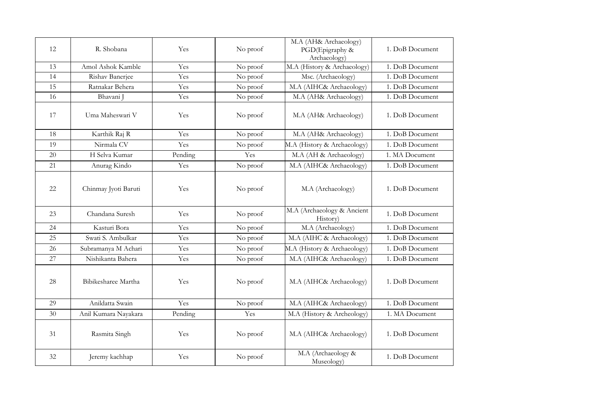| 12 | R. Shobana           | Yes     | No proof | M.A (AH& Archaeology)<br>PGD(Epigraphy &<br>Archaeology) | 1. DoB Document |
|----|----------------------|---------|----------|----------------------------------------------------------|-----------------|
| 13 | Amol Ashok Kamble    | Yes     | No proof | M.A (History & Archaeology)                              | 1. DoB Document |
| 14 | Rishav Banerjee      | Yes     | No proof | Msc. (Archaeology)                                       | 1. DoB Document |
| 15 | Ratnakar Behera      | Yes     | No proof | M.A (AIHC& Archaeology)                                  | 1. DoB Document |
| 16 | Bhavani J            | Yes     | No proof | M.A (AH& Archaeology)                                    | 1. DoB Document |
| 17 | Uma Maheswari V      | Yes     | No proof | M.A (AH& Archaeology)                                    | 1. DoB Document |
| 18 | Karthik Raj R        | Yes     | No proof | M.A (AH& Archaeology)                                    | 1. DoB Document |
| 19 | Nirmala CV           | Yes     | No proof | M.A (History & Archaeology)                              | 1. DoB Document |
| 20 | H Selva Kumar        | Pending | Yes      | M.A (AH & Archaeology)                                   | 1. MA Document  |
| 21 | Anurag Kindo         | Yes     | No proof | M.A (AIHC& Archaeology)                                  | 1. DoB Document |
| 22 | Chinmay Jyoti Baruti | Yes     | No proof | M.A (Archaeology)                                        | 1. DoB Document |
| 23 | Chandana Suresh      | Yes     | No proof | M.A (Archaeology & Ancient<br>History)                   | 1. DoB Document |
| 24 | Kasturi Bora         | Yes     | No proof | M.A (Archaeology)                                        | 1. DoB Document |
| 25 | Swati S. Ambulkar    | Yes     | No proof | M.A (AIHC & Archaeology)                                 | 1. DoB Document |
| 26 | Subramanya M Achari  | Yes     | No proof | M.A (History & Archaeology)                              | 1. DoB Document |
| 27 | Nishikanta Bahera    | Yes     | No proof | M.A (AIHC& Archaeology)                                  | 1. DoB Document |
| 28 | Bibikesharee Martha  | Yes     | No proof | M.A (AIHC& Archaeology)                                  | 1. DoB Document |
| 29 | Anildatta Swain      | Yes     | No proof | M.A (AIHC& Archaeology)                                  | 1. DoB Document |
| 30 | Anil Kumara Nayakara | Pending | Yes      | M.A (History & Archeology)                               | 1. MA Document  |
| 31 | Rasmita Singh        | Yes     | No proof | M.A (AIHC& Archaeology)                                  | 1. DoB Document |
| 32 | Jeremy kachhap       | Yes     | No proof | M.A (Archaeology &<br>Museology)                         | 1. DoB Document |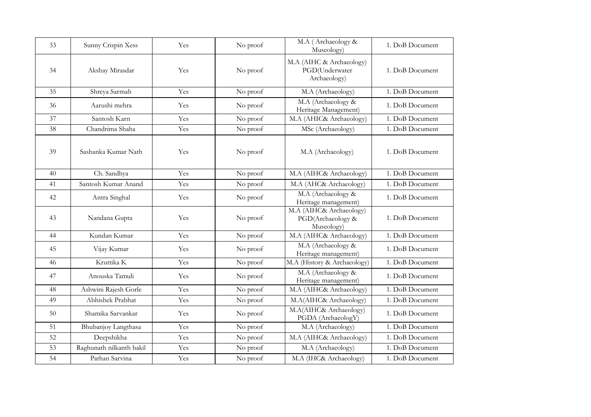| 33 | Sunny Crispin Xess       | Yes | No proof | M.A (Archaeology &<br>Museology)                           | 1. DoB Document |
|----|--------------------------|-----|----------|------------------------------------------------------------|-----------------|
| 34 | Akshay Mirasdar          | Yes | No proof | M.A (AIHC & Archaeology)<br>PGD(Underwater<br>Archaeology) | 1. DoB Document |
| 35 | Shreya Sarmah            | Yes | No proof | M.A (Archaeology)                                          | 1. DoB Document |
| 36 | Aarushi mehra            | Yes | No proof | M.A (Archaeology &<br>Heritage Management)                 | 1. DoB Document |
| 37 | Santosh Karn             | Yes | No proof | M.A (AHIC& Archaeology)                                    | 1. DoB Document |
| 38 | Chandrima Shaha          | Yes | No proof | MSc (Archaeology)                                          | 1. DoB Document |
| 39 | Sashanka Kumar Nath      | Yes | No proof | M.A (Archaeology)                                          | 1. DoB Document |
| 40 | Ch. Sandhya              | Yes | No proof | M.A (AIHC& Archaeology)                                    | 1. DoB Document |
| 41 | Santosh Kumar Anand      | Yes | No proof | M.A (AHC& Archaeology)                                     | 1. DoB Document |
| 42 | Antra Singhal            | Yes | No proof | M.A (Archaeology &<br>Heritage management)                 | 1. DoB Document |
| 43 | Nandana Gupta            | Yes | No proof | M.A (AIHC& Archaeology)<br>PGD(Archaeology &<br>Museology) | 1. DoB Document |
| 44 | Kundan Kumar             | Yes | No proof | M.A (AIHC& Archaeology)                                    | 1. DoB Document |
| 45 | Vijay Kumar              | Yes | No proof | M.A (Archaeology &<br>Heritage management)                 | 1. DoB Document |
| 46 | Kruttika K               | Yes | No proof | M.A (History & Archaeology)                                | 1. DoB Document |
| 47 | Anouska Tamuli           | Yes | No proof | M.A (Archaeology &<br>Heritage management)                 | 1. DoB Document |
| 48 | Ashwini Rajesh Gorle     | Yes | No proof | M.A (AIHC& Archaeology)                                    | 1. DoB Document |
| 49 | Abhishek Prabhat         | Yes | No proof | M.A(AIHC& Archaeology)                                     | 1. DoB Document |
| 50 | Shamika Sarvankar        | Yes | No proof | M.A(AIHC& Archaeology)<br>PGDA (ArchaeologY)               | 1. DoB Document |
| 51 | Bhubanjoy Langthasa      | Yes | No proof | M.A (Archaeology)                                          | 1. DoB Document |
| 52 | Deepshikha               | Yes | No proof | M.A (AIHC& Archaeology)                                    | 1. DoB Document |
| 53 | Raghunath nilkanth bakil | Yes | No proof | M.A (Archaeology)                                          | 1. DoB Document |
| 54 | Pathan Sarvina           | Yes | No proof | M.A (IHC& Archaeology)                                     | 1. DoB Document |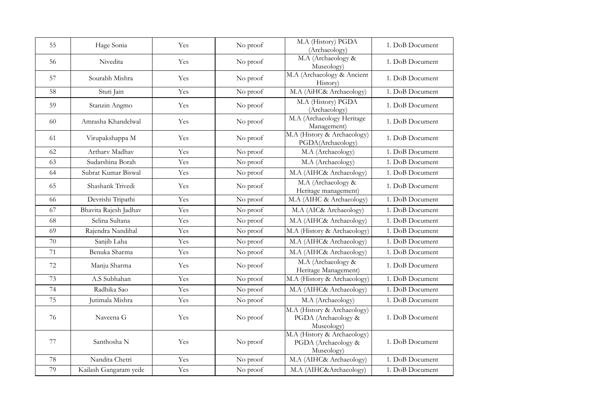| 55 | Hage Sonia            | Yes | No proof | M.A (History) PGDA<br>(Archaeology)                              | 1. DoB Document |
|----|-----------------------|-----|----------|------------------------------------------------------------------|-----------------|
| 56 | Nivedita              | Yes | No proof | M.A (Archaeology &<br>Museology)                                 | 1. DoB Document |
| 57 | Sourabh Mishra        | Yes | No proof | M.A (Archaeology & Ancient<br>History)                           | 1. DoB Document |
| 58 | Stuti Jain            | Yes | No proof | M.A (AiHC& Archaeology)                                          | 1. DoB Document |
| 59 | Stanzin Angmo         | Yes | No proof | M.A (History) PGDA<br>(Archaeology)                              | 1. DoB Document |
| 60 | Amrasha Khandelwal    | Yes | No proof | M.A (Archaeology Heritage<br>Management)                         | 1. DoB Document |
| 61 | Virupakshappa M       | Yes | No proof | M.A (History & Archaeology)<br>PGDA(Archaeology)                 | 1. DoB Document |
| 62 | Artharv Madhav        | Yes | No proof | M.A (Archaeology)                                                | 1. DoB Document |
| 63 | Sudarshina Borah      | Yes | No proof | M.A (Archaeology)                                                | 1. DoB Document |
| 64 | Subrat Kumar Biswal   | Yes | No proof | M.A (AIHC& Archaeology)                                          | 1. DoB Document |
| 65 | Shashank Trivedi      | Yes | No proof | M.A (Archaeology &<br>Heritage management)                       | 1. DoB Document |
| 66 | Devrishi Tripathi     | Yes | No proof | M.A (AIHC & Archaeology)                                         | 1. DoB Document |
| 67 | Bhavita Rajesh Jadhav | Yes | No proof | M.A (AIC& Archaeology)                                           | 1. DoB Document |
| 68 | Selina Sultana        | Yes | No proof | M.A (AIHC& Archaeology)                                          | 1. DoB Document |
| 69 | Rajendra Nandihal     | Yes | No proof | M.A (History & Archaeology)                                      | 1. DoB Document |
| 70 | Sanjib Laha           | Yes | No proof | M.A (AIHC& Archaeology)                                          | 1. DoB Document |
| 71 | Benuka Sharma         | Yes | No proof | M.A (AIHC& Archaeology)                                          | 1. DoB Document |
| 72 | Manju Sharma          | Yes | No proof | M.A (Archaeology &<br>Heritage Management)                       | 1. DoB Document |
| 73 | A.S Subhahan          | Yes | No proof | M.A (History & Archaeology)                                      | 1. DoB Document |
| 74 | Radhika Sao           | Yes | No proof | M.A (AIHC& Archaeology)                                          | 1. DoB Document |
| 75 | Jutimala Mishra       | Yes | No proof | M.A (Archaeology)                                                | 1. DoB Document |
| 76 | Naveena G             | Yes | No proof | M.A (History & Archaeology)<br>PGDA (Archaeology &<br>Museology) | 1. DoB Document |
| 77 | Santhosha N           | Yes | No proof | M.A (History & Archaeology)<br>PGDA (Archaeology &<br>Museology) | 1. DoB Document |
| 78 | Nandita Chetri        | Yes | No proof | M.A (AIHC& Archaeology)                                          | 1. DoB Document |
| 79 | Kailash Gangaram yede | Yes | No proof | M.A (AIHC&Archaeology)                                           | 1. DoB Document |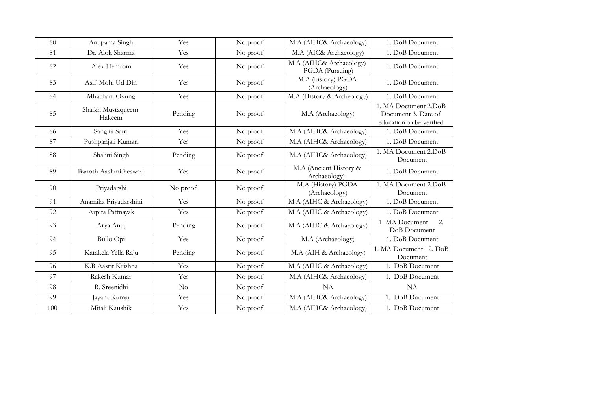| 80  | Anupama Singh               | Yes      | No proof | M.A (AIHC& Archaeology)                    | 1. DoB Document                                                         |
|-----|-----------------------------|----------|----------|--------------------------------------------|-------------------------------------------------------------------------|
| 81  | Dr. Alok Sharma             | Yes      | No proof | M.A (AIC& Archaeology)                     | 1. DoB Document                                                         |
| 82  | Alex Hemrom                 | Yes      | No proof | M.A (AIHC& Archaeology)<br>PGDA (Pursuing) | 1. DoB Document                                                         |
| 83  | Asif Mohi Ud Din            | Yes      | No proof | M.A (history) PGDA<br>(Archaeology)        | 1. DoB Document                                                         |
| 84  | Mhachani Ovung              | Yes      | No proof | M.A (History & Archeology)                 | 1. DoB Document                                                         |
| 85  | Shaikh Mustaqueem<br>Hakeem | Pending  | No proof | M.A (Archaeology)                          | 1. MA Document 2.DoB<br>Document 3. Date of<br>education to be verified |
| 86  | Sangita Saini               | Yes      | No proof | M.A (AIHC& Archaeology)                    | 1. DoB Document                                                         |
| 87  | Pushpanjali Kumari          | Yes      | No proof | M.A (AIHC& Archaeology)                    | 1. DoB Document                                                         |
| 88  | Shalini Singh               | Pending  | No proof | M.A (AIHC& Archaeology)                    | 1. MA Document 2.DoB<br>Document                                        |
| 89  | Banoth Aashmitheswari       | Yes      | No proof | M.A (Ancient History &<br>Archaeology)     | 1. DoB Document                                                         |
| 90  | Priyadarshi                 | No proof | No proof | M.A (History) PGDA<br>(Archaeology)        | 1. MA Document 2.DoB<br>Document                                        |
| 91  | Anamika Priyadarshini       | Yes      | No proof | M.A (AIHC & Archaeology)                   | 1. DoB Document                                                         |
| 92  | Arpita Pattnayak            | Yes      | No proof | M.A (AIHC & Archaeology)                   | 1. DoB Document                                                         |
| 93  | Arya Anuj                   | Pending  | No proof | M.A (AIHC & Archaeology)                   | 1. MA Document<br>2.<br>DoB Document                                    |
| 94  | Bullo Opi                   | Yes      | No proof | M.A (Archaeology)                          | 1. DoB Document                                                         |
| 95  | Karakela Yella Raju         | Pending  | No proof | M.A (AIH & Archaeology)                    | 1. MA Document 2. DoB<br>Document                                       |
| 96  | K.R Aasrit Krishna          | Yes      | No proof | M.A (AIHC & Archaeology)                   | 1. DoB Document                                                         |
| 97  | Rakesh Kumar                | Yes      | No proof | M.A (AIHC& Archaeology)                    | 1. DoB Document                                                         |
| 98  | R. Sreenidhi                | $\rm No$ | No proof | NA                                         | NA                                                                      |
| 99  | Jayant Kumar                | Yes      | No proof | M.A (AIHC& Archaeology)                    | 1. DoB Document                                                         |
| 100 | Mitali Kaushik              | Yes      | No proof | M.A (AIHC& Archaeology)                    | 1. DoB Document                                                         |